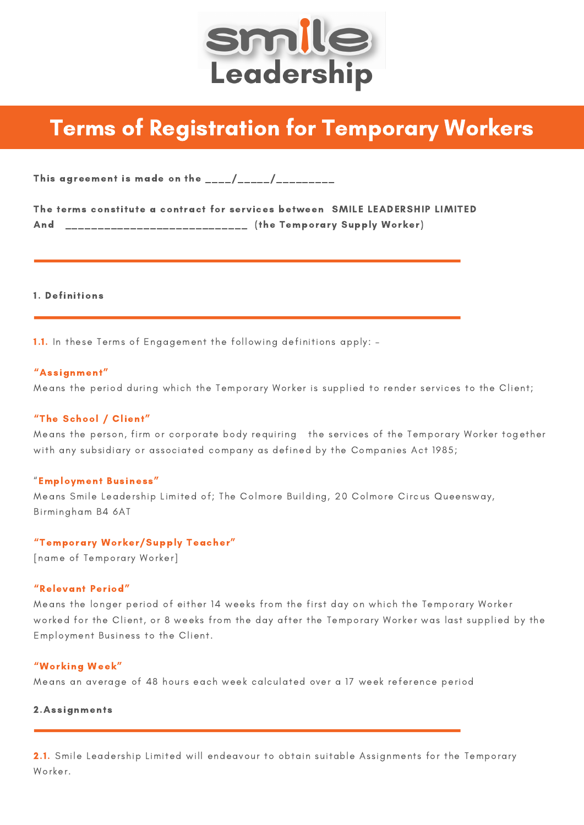

# Terms of Registration for Temporary Workers

This agreement is made on the  $\frac{1}{2}$   $\frac{1}{2}$   $\frac{1}{2}$   $\frac{1}{2}$   $\frac{1}{2}$   $\frac{1}{2}$   $\frac{1}{2}$   $\frac{1}{2}$   $\frac{1}{2}$   $\frac{1}{2}$   $\frac{1}{2}$   $\frac{1}{2}$   $\frac{1}{2}$   $\frac{1}{2}$   $\frac{1}{2}$   $\frac{1}{2}$   $\frac{1}{2}$   $\frac{1}{2}$   $\frac{1}{2}$ 

|     | The terms constitute a contract for services between SMILE LEADERSHIP LIMITED |  |  |                               |  |
|-----|-------------------------------------------------------------------------------|--|--|-------------------------------|--|
| And |                                                                               |  |  | (the Temporary Supply Worker) |  |

1. Definitions

1.1. In these Terms of Engagement the following definitions apply: –

## "Assignment"

Means the period during which the Temporary Worker is supplied to render services to the Client;

## "The School / Client"

Means the person, firm or corporate body requiring the services of the Temporary Worker together with any subsidiary or associated company as defined by the Companies Act 1985;

## "Employment Business"

Means Smile Leadership Limited of; The Colmore Building, 20 Colmore Circus Queensway, Birmingham B4 6AT

## "Temporary Worker/Supply Teacher"

[name of Temporary Worker]

## "Relevant Period"

Means the longer period of either 14 weeks from the first day on which the Temporary Worker worked for the Client, or 8 weeks from the day after the Temporary Worker was last supplied by the Employment Business to the Client.

## "Working Week"

Means an average of 48 hours each week calculated over a 17 week reference period

## 2.Assignments

2.1. Smile Leadership Limited will endeavour to obtain suitable Assignments for the Temporary Worker.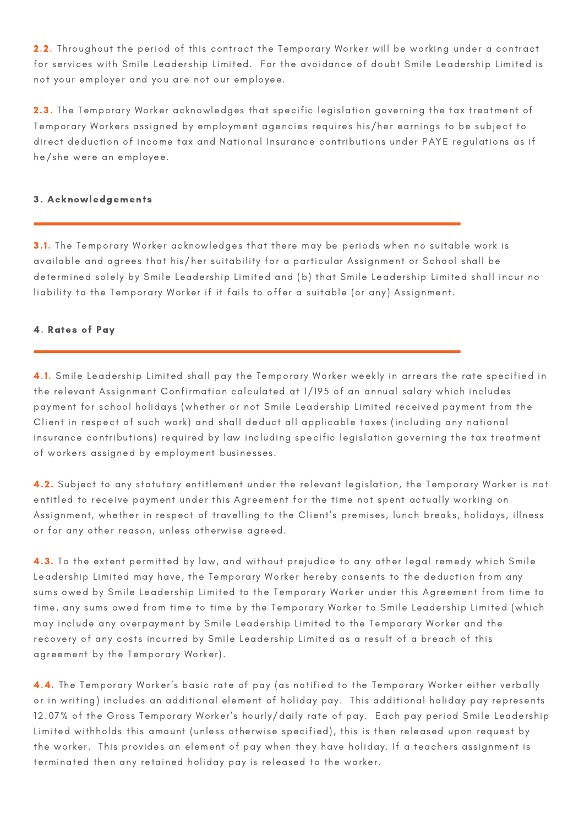2.2. Throughout the period of this contract the Temporary Worker will be working under a contract for services with Smile Leadership Limited. For the avoidance of doubt Smile Leadership Limited is not your employer and you are not our employee.

2.3. The Temporary Worker acknowledges that specific legislation governing the tax treatment of Temporary Workers assigned by employment agencies requires his/her earnings to be subject to direct deduction of income tax and National Insurance contributions under PAYE regulations as if he/she were an employee.

## 3. Acknowledgements

3.1. The Temporary Worker acknowledges that there may be periods when no suitable work is available and agrees that his/her suitability for a particular Assignment or School shall be determined solely by Smile Leadership Limited and (b) that Smile Leadership Limited shall incur no liability to the Temporary Worker if it fails to offer a suitable (or any) Assignment.

# 4. Rates of Pay

4.1. Smile Leadership Limited shall pay the Temporary Worker weekly in arrears the rate specified in the relevant Assignment Confirmation calculated at 1/195 of an annual salary which includes payment for school holidays (whether or not Smile Leadership Limited received payment from the Client in respect of such work) and shall deduct all applicable taxes (including any national insurance contributions) required by law including specific legislation governing the tax treatment of workers assigned by employment businesses.

4.2. Subject to any statutory entitlement under the relevant legislation, the Temporary Worker is not entitled to receive payment under this Agreement for the time not spent actually working on Assignment, whether in respect of travelling to the Client's premises, lunch breaks, holidays, illness or for any other reason, unless otherwise agreed.

4.3. To the extent permitted by law, and without prejudice to any other legal remedy which Smile Leadership Limited may have, the Temporary Worker hereby consents to the deduction from any sums owed by Smile Leadership Limited to the Temporary Worker under this Agreement from time to time, any sums owed from time to time by the Temporary Worker to Smile Leadership Limited (which may include any overpayment by Smile Leadership Limited to the Temporary Worker and the recovery of any costs incurred by Smile Leadership Limited as a result of a breach of this agreement by the Temporary Worker).

4.4. The Temporary Worker's basic rate of pay (as notified to the Temporary Worker either verbally or in writing) includes an additional element of holiday pay. This additional holiday pay represents 12.07% of the Gross Temporary Worker's hourly/daily rate of pay. Each pay period Smile Leadership Limited withholds this amount (unless otherwise specified), this is then released upon request by the worker. This provides an element of pay when they have holiday. If a teachers assignment is terminated then any retained holiday pay is released to the worker.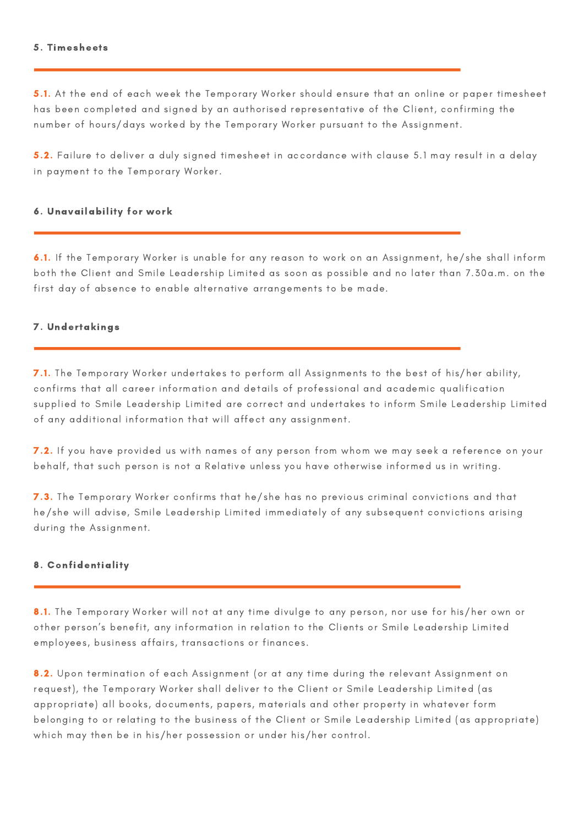#### 5. Timesheets

5.1. At the end of each week the Temporary Worker should ensure that an online or paper timesheet has been completed and signed by an authorised representative of the Client, confirming the number of hours/days worked by the Temporary Worker pursuant to the Assignment.

5.2. Failure to deliver a duly signed timesheet in accordance with clause 5.1 may result in a delay in payment to the Temporary Worker.

## 6. Unavailability for work

6.1. If the Temporary Worker is unable for any reason to work on an Assignment, he/she shall inform both the Client and Smile Leadership Limited as soon as possible and no later than 7.30a.m. on the first day of absence to enable alternative arrangements to be made.

## 7. Undertakings

7.1. The Temporary Worker undertakes to perform all Assignments to the best of his/her ability, confirms that all career information and details of professional and academic qualification supplied to Smile Leadership Limited are correct and undertakes to inform Smile Leadership Limited of any additional information that will affect any assignment.

7.2. If you have provided us with names of any person from whom we may seek a reference on your behalf, that such person is not a Relative unless you have otherwise informed us in writing.

7.3. The Temporary Worker confirms that he/she has no previous criminal convictions and that he/she will advise, Smile Leadership Limited immediately of any subsequent convictions arising during the Assignment.

## 8. Confidentiality

8.1. The Temporary Worker will not at any time divulge to any person, nor use for his/her own or other person's benefit, any information in relation to the Clients or Smile Leadership Limited employees, business affairs, transactions or finances.

8.2. Upon termination of each Assignment (or at any time during the relevant Assignment on request), the Temporary Worker shall deliver to the Client or Smile Leadership Limited (as appropriate) all books, documents, papers, materials and other property in whatever form belonging to or relating to the business of the Client or Smile Leadership Limited (as appropriate) which may then be in his/her possession or under his/her control.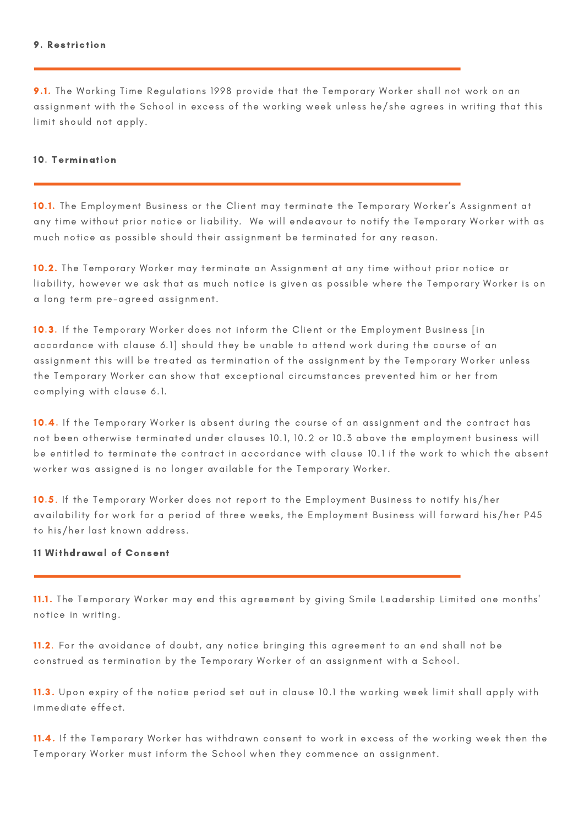## 9. Restriction

9.1. The Working Time Regulations 1998 provide that the Temporary Worker shall not work on an assignment with the School in excess of the working week unless he/she agrees in writing that this limit should not apply.

## 10. Termination

10.1. The Employment Business or the Client may terminate the Temporary Worker's Assignment at any time without prior notice or liability. We will endeavour to notify the Temporary Worker with as much notice as possible should their assignment be terminated for any reason.

10.2. The Temporary Worker may terminate an Assignment at any time without prior notice or liability, however we ask that as much notice is given as possible where the Temporary Worker is on a long term pre-agreed assignment.

10.3. If the Temporary Worker does not inform the Client or the Employment Business [in accordance with clause 6.1] should they be unable to attend work during the course of an assignment this will be treated as termination of the assignment by the Temporary Worker unless the Temporary Worker can show that exceptional circumstances prevented him or her from complying with clause 6.1.

10.4. If the Temporary Worker is absent during the course of an assignment and the contract has not been otherwise terminated under clauses 10.1, 10.2 or 10.3 above the employment business will be entitled to terminate the contract in accordance with clause 10.1 if the work to which the absent worker was assigned is no longer available for the Temporary Worker.

10.5. If the Temporary Worker does not report to the Employment Business to notify his/her availability for work for a period of three weeks, the Employment Business will forward his/her P45 to his/her last known address.

# 11 Withdrawal of Consent

11.1. The Temporary Worker may end this agreement by giving Smile Leadership Limited one months' notice in writing.

11.2. For the avoidance of doubt, any notice bringing this agreement to an end shall not be construed as termination by the Temporary Worker of an assignment with a School.

11.3. Upon expiry of the notice period set out in clause 10.1 the working week limit shall apply with immediate effect.

11.4. If the Temporary Worker has withdrawn consent to work in excess of the working week then the Temporary Worker must inform the School when they commence an assignment.